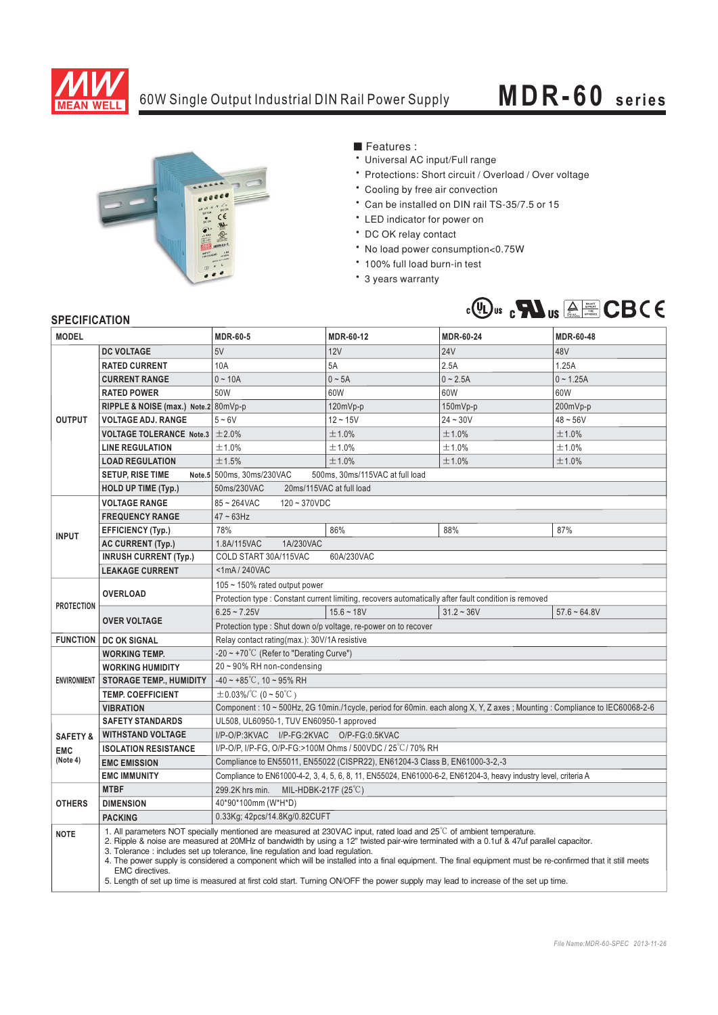

## 60W Single Output Industrial DIN Rail Power Supply **MDR-60 series**



■ Features :

- Universal AC input/Full range
- \* Protections: Short circuit / Overload / Over voltage
- \* Cooling by free air convection
- <sup>6</sup> Can be installed on DIN rail TS-35/7.5 or 15
- \* LED indicator for power on
- \* DC OK relay contact
- \* No load power consumption<0.75W
- 100% full load burn-in test
- \* 3 years warranty



## **SPECIFICATION**

| <b>JELUIFIUAI IUN</b> |                                                                                                                                                                                                                                                                                                                                                                                                                                                                                                                                                                                                                                                                                        |                                                                                                                          |              |                  |                |
|-----------------------|----------------------------------------------------------------------------------------------------------------------------------------------------------------------------------------------------------------------------------------------------------------------------------------------------------------------------------------------------------------------------------------------------------------------------------------------------------------------------------------------------------------------------------------------------------------------------------------------------------------------------------------------------------------------------------------|--------------------------------------------------------------------------------------------------------------------------|--------------|------------------|----------------|
| <b>MODEL</b>          |                                                                                                                                                                                                                                                                                                                                                                                                                                                                                                                                                                                                                                                                                        | <b>MDR-60-5</b>                                                                                                          | MDR-60-12    | <b>MDR-60-24</b> | MDR-60-48      |
| <b>OUTPUT</b>         | <b>DC VOLTAGE</b>                                                                                                                                                                                                                                                                                                                                                                                                                                                                                                                                                                                                                                                                      | 5V                                                                                                                       | 12V          | <b>24V</b>       | 48V            |
|                       | <b>RATED CURRENT</b>                                                                                                                                                                                                                                                                                                                                                                                                                                                                                                                                                                                                                                                                   | 10A                                                                                                                      | 5A           | 2.5A             | 1.25A          |
|                       | <b>CURRENT RANGE</b>                                                                                                                                                                                                                                                                                                                                                                                                                                                                                                                                                                                                                                                                   | $0 - 10A$                                                                                                                | $0 \sim 5A$  | $0 - 2.5A$       | $0 - 1.25A$    |
|                       | <b>RATED POWER</b>                                                                                                                                                                                                                                                                                                                                                                                                                                                                                                                                                                                                                                                                     | 50W                                                                                                                      | 60W          | 60W              | 60W            |
|                       | RIPPLE & NOISE (max.) Note.2 80mVp-p                                                                                                                                                                                                                                                                                                                                                                                                                                                                                                                                                                                                                                                   |                                                                                                                          | 120mVp-p     | 150mVp-p         | 200mVp-p       |
|                       | <b>VOLTAGE ADJ. RANGE</b>                                                                                                                                                                                                                                                                                                                                                                                                                                                                                                                                                                                                                                                              | $5 - 6V$                                                                                                                 | $12 - 15V$   | $24 - 30V$       | $48 - 56V$     |
|                       | VOLTAGE TOLERANCE Note.3 $\pm$ 2.0%                                                                                                                                                                                                                                                                                                                                                                                                                                                                                                                                                                                                                                                    |                                                                                                                          | ±1.0%        | ±1.0%            | ±1.0%          |
|                       | <b>LINE REGULATION</b>                                                                                                                                                                                                                                                                                                                                                                                                                                                                                                                                                                                                                                                                 | ±1.0%                                                                                                                    | ±1.0%        | ±1.0%            | ±1.0%          |
|                       | <b>LOAD REGULATION</b>                                                                                                                                                                                                                                                                                                                                                                                                                                                                                                                                                                                                                                                                 | ±1.5%                                                                                                                    | ±1.0%        | ±1.0%            | ±1.0%          |
|                       | <b>SETUP, RISE TIME</b>                                                                                                                                                                                                                                                                                                                                                                                                                                                                                                                                                                                                                                                                | Note.5 500ms, 30ms/230VAC<br>500ms, 30ms/115VAC at full load                                                             |              |                  |                |
|                       | <b>HOLD UP TIME (Typ.)</b>                                                                                                                                                                                                                                                                                                                                                                                                                                                                                                                                                                                                                                                             | 50ms/230VAC<br>20ms/115VAC at full load                                                                                  |              |                  |                |
| <b>INPUT</b>          | <b>VOLTAGE RANGE</b>                                                                                                                                                                                                                                                                                                                                                                                                                                                                                                                                                                                                                                                                   | $85 - 264$ VAC<br>$120 - 370VDC$                                                                                         |              |                  |                |
|                       | <b>FREQUENCY RANGE</b>                                                                                                                                                                                                                                                                                                                                                                                                                                                                                                                                                                                                                                                                 | $47 \sim 63$ Hz                                                                                                          |              |                  |                |
|                       | <b>EFFICIENCY (Typ.)</b>                                                                                                                                                                                                                                                                                                                                                                                                                                                                                                                                                                                                                                                               | 78%                                                                                                                      | 86%          | 88%              | 87%            |
|                       | <b>AC CURRENT (Typ.)</b>                                                                                                                                                                                                                                                                                                                                                                                                                                                                                                                                                                                                                                                               | 1.8A/115VAC<br>1A/230VAC                                                                                                 |              |                  |                |
|                       | <b>INRUSH CURRENT (Typ.)</b>                                                                                                                                                                                                                                                                                                                                                                                                                                                                                                                                                                                                                                                           | COLD START 30A/115VAC<br>60A/230VAC                                                                                      |              |                  |                |
|                       | <b>LEAKAGE CURRENT</b>                                                                                                                                                                                                                                                                                                                                                                                                                                                                                                                                                                                                                                                                 | <1mA/240VAC                                                                                                              |              |                  |                |
| <b>PROTECTION</b>     | <b>OVERLOAD</b>                                                                                                                                                                                                                                                                                                                                                                                                                                                                                                                                                                                                                                                                        | 105 ~ 150% rated output power                                                                                            |              |                  |                |
|                       |                                                                                                                                                                                                                                                                                                                                                                                                                                                                                                                                                                                                                                                                                        | Protection type : Constant current limiting, recovers automatically after fault condition is removed                     |              |                  |                |
|                       | <b>OVER VOLTAGE</b>                                                                                                                                                                                                                                                                                                                                                                                                                                                                                                                                                                                                                                                                    | $6.25 - 7.25V$                                                                                                           | $15.6 - 18V$ | $31.2 - 36V$     | $57.6 - 64.8V$ |
|                       |                                                                                                                                                                                                                                                                                                                                                                                                                                                                                                                                                                                                                                                                                        | Protection type: Shut down o/p voltage, re-power on to recover                                                           |              |                  |                |
|                       | <b>FUNCTION   DC OK SIGNAL</b>                                                                                                                                                                                                                                                                                                                                                                                                                                                                                                                                                                                                                                                         | Relay contact rating (max.): 30V/1A resistive                                                                            |              |                  |                |
| <b>ENVIRONMENT</b>    | <b>WORKING TEMP.</b>                                                                                                                                                                                                                                                                                                                                                                                                                                                                                                                                                                                                                                                                   | -20 ~ +70°C (Refer to "Derating Curve")                                                                                  |              |                  |                |
|                       | <b>WORKING HUMIDITY</b>                                                                                                                                                                                                                                                                                                                                                                                                                                                                                                                                                                                                                                                                | 20~90% RH non-condensing                                                                                                 |              |                  |                |
|                       | <b>STORAGE TEMP., HUMIDITY</b>                                                                                                                                                                                                                                                                                                                                                                                                                                                                                                                                                                                                                                                         | $-40 \sim +85^{\circ}$ C, 10 ~ 95% RH                                                                                    |              |                  |                |
|                       | <b>TEMP. COEFFICIENT</b>                                                                                                                                                                                                                                                                                                                                                                                                                                                                                                                                                                                                                                                               | $\pm$ 0.03%/°C (0 ~ 50°C)                                                                                                |              |                  |                |
|                       | <b>VIBRATION</b>                                                                                                                                                                                                                                                                                                                                                                                                                                                                                                                                                                                                                                                                       | Component: 10 ~ 500Hz, 2G 10min./1cycle, period for 60min. each along X, Y, Z axes; Mounting: Compliance to IEC60068-2-6 |              |                  |                |
|                       | <b>SAFETY STANDARDS</b>                                                                                                                                                                                                                                                                                                                                                                                                                                                                                                                                                                                                                                                                | UL508, UL60950-1, TUV EN60950-1 approved                                                                                 |              |                  |                |
| <b>SAFETY &amp;</b>   | <b>WITHSTAND VOLTAGE</b>                                                                                                                                                                                                                                                                                                                                                                                                                                                                                                                                                                                                                                                               | I/P-O/P:3KVAC I/P-FG:2KVAC O/P-FG:0.5KVAC                                                                                |              |                  |                |
| <b>EMC</b>            | <b>ISOLATION RESISTANCE</b>                                                                                                                                                                                                                                                                                                                                                                                                                                                                                                                                                                                                                                                            | I/P-O/P, I/P-FG, O/P-FG:>100M Ohms / 500VDC / 25°C/ 70% RH                                                               |              |                  |                |
| (Note 4)              | <b>EMC EMISSION</b>                                                                                                                                                                                                                                                                                                                                                                                                                                                                                                                                                                                                                                                                    | Compliance to EN55011, EN55022 (CISPR22), EN61204-3 Class B, EN61000-3-2,-3                                              |              |                  |                |
|                       | <b>EMC IMMUNITY</b>                                                                                                                                                                                                                                                                                                                                                                                                                                                                                                                                                                                                                                                                    | Compliance to EN61000-4-2, 3, 4, 5, 6, 8, 11, EN55024, EN61000-6-2, EN61204-3, heavy industry level, criteria A          |              |                  |                |
|                       | <b>MTBF</b>                                                                                                                                                                                                                                                                                                                                                                                                                                                                                                                                                                                                                                                                            | 299.2K hrs min.<br>MIL-HDBK-217F (25 $\degree$ C)                                                                        |              |                  |                |
| <b>OTHERS</b>         | <b>DIMENSION</b>                                                                                                                                                                                                                                                                                                                                                                                                                                                                                                                                                                                                                                                                       | 40*90*100mm (W*H*D)                                                                                                      |              |                  |                |
|                       | <b>PACKING</b>                                                                                                                                                                                                                                                                                                                                                                                                                                                                                                                                                                                                                                                                         | 0.33Kg; 42pcs/14.8Kg/0.82CUFT                                                                                            |              |                  |                |
| <b>NOTE</b>           | 1. All parameters NOT specially mentioned are measured at 230VAC input, rated load and $25^{\circ}$ of ambient temperature.<br>2. Ripple & noise are measured at 20MHz of bandwidth by using a 12" twisted pair-wire terminated with a 0.1uf & 47uf parallel capacitor.<br>3. Tolerance: includes set up tolerance, line regulation and load regulation.<br>4. The power supply is considered a component which will be installed into a final equipment. The final equipment must be re-confirmed that it still meets<br><b>EMC</b> directives.<br>5. Length of set up time is measured at first cold start. Turning ON/OFF the power supply may lead to increase of the set up time. |                                                                                                                          |              |                  |                |